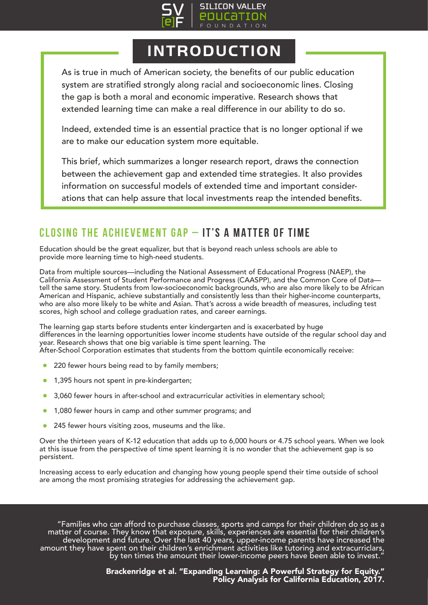

## INTRODUCTION

As is true in much of American society, the benefits of our public education system are stratified strongly along racial and socioeconomic lines. Closing the gap is both a moral and economic imperative. Research shows that extended learning time can make a real difference in our ability to do so.

Indeed, extended time is an essential practice that is no longer optional if we are to make our education system more equitable.

This brief, which summarizes a longer research report, draws the connection between the achievement gap and extended time strategies. It also provides information on successful models of extended time and important considerations that can help assure that local investments reap the intended benefits.

### **CLOSING THE ACHIEVEMENT GAP – IT'S A MATTER OF TIME**

Education should be the great equalizer, but that is beyond reach unless schools are able to provide more learning time to high-need students.

Data from multiple sources—including the National Assessment of Educational Progress (NAEP), the California Assessment of Student Performance and Progress (CAASPP), and the Common Core of Data tell the same story. Students from low-socioeconomic backgrounds, who are also more likely to be African American and Hispanic, achieve substantially and consistently less than their higher-income counterparts, who are also more likely to be white and Asian. That's across a wide breadth of measures, including test scores, high school and college graduation rates, and career earnings.

The learning gap starts before students enter kindergarten and is exacerbated by huge differences in the learning opportunities lower income students have outside of the regular school day and year. Research shows that one big variable is time spent learning. The After-School Corporation estimates that students from the bottom quintile economically receive:

- 220 fewer hours being read to by family members;
- 1,395 hours not spent in pre-kindergarten;
- 3,060 fewer hours in after-school and extracurricular activities in elementary school;
- 1,080 fewer hours in camp and other summer programs; and
- 245 fewer hours visiting zoos, museums and the like.

Over the thirteen years of K-12 education that adds up to 6,000 hours or 4.75 school years. When we look at this issue from the perspective of time spent learning it is no wonder that the achievement gap is so persistent.

Increasing access to early education and changing how young people spend their time outside of school are among the most promising strategies for addressing the achievement gap.

"Families who can afford to purchase classes, sports and camps for their children do so as a<br>matter of course. They know that exposure, skills, experiences are essential for their children's<br>development and future. Over th

Brackenridge et al. "Expanding Learning: A Powerful Strategy for Equity." Policy Analysis for California Education, 2017.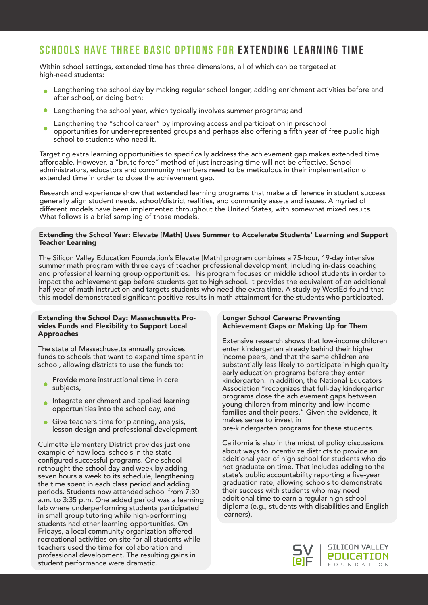### **SCHOOLS HAVE THREE BASIC OPTIONS FOR EXTENDING LEARNING TIME**

Within school settings, extended time has three dimensions, all of which can be targeted at high-need students:

- **.** Lengthening the school day by making regular school longer, adding enrichment activities before and after school, or doing both;
- Lengthening the school year, which typically involves summer programs; and
- Lengthening the "school career" by improving access and participation in preschool opportunities for under-represented groups and perhaps also offering a fifth year of free public high school to students who need it.

Targeting extra learning opportunities to specifically address the achievement gap makes extended time affordable. However, a "brute force" method of just increasing time will not be effective. School administrators, educators and community members need to be meticulous in their implementation of extended time in order to close the achievement gap.

Research and experience show that extended learning programs that make a difference in student success generally align student needs, school/district realities, and community assets and issues. A myriad of different models have been implemented throughout the United States, with somewhat mixed results. What follows is a brief sampling of those models.

#### Extending the School Year: Elevate [Math] Uses Summer to Accelerate Students' Learning and Support Teacher Learning

The Silicon Valley Education Foundation's Elevate [Math] program combines a 75-hour, 19-day intensive summer math program with three days of teacher professional development, including in-class coaching and professional learning group opportunities. This program focuses on middle school students in order to impact the achievement gap before students get to high school. It provides the equivalent of an additional half year of math instruction and targets students who need the extra time. A study by WestEd found that this model demonstrated significant positive results in math attainment for the students who participated.

#### Extending the School Day: Massachusetts Provides Funds and Flexibility to Support Local Approaches

The state of Massachusetts annually provides funds to schools that want to expand time spent in school, allowing districts to use the funds to:

- Provide more instructional time in core subjects,
- **Integrate enrichment and applied learning** opportunities into the school day, and
- Give teachers time for planning, analysis, lesson design and professional development.

Culmette Elementary District provides just one example of how local schools in the state configured successful programs. One school rethought the school day and week by adding seven hours a week to its schedule, lengthening the time spent in each class period and adding periods. Students now attended school from 7:30 a.m. to 3:35 p.m. One added period was a learning lab where underperforming students participated in small group tutoring while high-performing students had other learning opportunities. On Fridays, a local community organization offered recreational activities on-site for all students while teachers used the time for collaboration and professional development. The resulting gains in student performance were dramatic.

#### Longer School Careers: Preventing Achievement Gaps or Making Up for Them

Extensive research shows that low-income children enter kindergarten already behind their higher income peers, and that the same children are substantially less likely to participate in high quality early education programs before they enter kindergarten. In addition, the National Educators Association "recognizes that full-day kindergarten programs close the achievement gaps between young children from minority and low-income families and their peers." Given the evidence, it makes sense to invest in

pre-kindergarten programs for these students.

California is also in the midst of policy discussions about ways to incentivize districts to provide an additional year of high school for students who do not graduate on time. That includes adding to the state's public accountability reporting a five-year graduation rate, allowing schools to demonstrate their success with students who may need additional time to earn a regular high school diploma (e.g., students with disabilities and English learners).

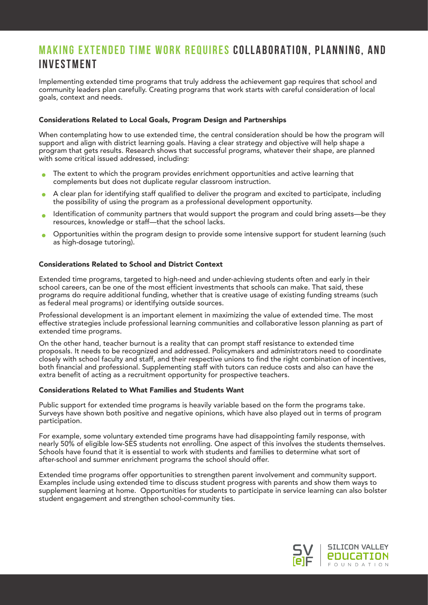### **MAKING EXTENDED TIME WORK REQUIRES COLLABORATION, PLANNING, AND INVESTMENT**

Implementing extended time programs that truly address the achievement gap requires that school and community leaders plan carefully. Creating programs that work starts with careful consideration of local goals, context and needs.

#### Considerations Related to Local Goals, Program Design and Partnerships

When contemplating how to use extended time, the central consideration should be how the program will support and align with district learning goals. Having a clear strategy and objective will help shape a program that gets results. Research shows that successful programs, whatever their shape, are planned with some critical issued addressed, including:

- The extent to which the program provides enrichment opportunities and active learning that complements but does not duplicate regular classroom instruction.
- A clear plan for identifying staff qualified to deliver the program and excited to participate, including  $\bullet$ the possibility of using the program as a professional development opportunity.
- Identification of community partners that would support the program and could bring assets—be they  $\blacksquare$ resources, knowledge or staff—that the school lacks.
- Opportunities within the program design to provide some intensive support for student learning (such  $\blacksquare$ as high-dosage tutoring).

#### Considerations Related to School and District Context

Extended time programs, targeted to high-need and under-achieving students often and early in their school careers, can be one of the most efficient investments that schools can make. That said, these programs do require additional funding, whether that is creative usage of existing funding streams (such as federal meal programs) or identifying outside sources.

Professional development is an important element in maximizing the value of extended time. The most effective strategies include professional learning communities and collaborative lesson planning as part of extended time programs.

On the other hand, teacher burnout is a reality that can prompt staff resistance to extended time proposals. It needs to be recognized and addressed. Policymakers and administrators need to coordinate closely with school faculty and staff, and their respective unions to find the right combination of incentives, both financial and professional. Supplementing staff with tutors can reduce costs and also can have the extra benefit of acting as a recruitment opportunity for prospective teachers.

#### Considerations Related to What Families and Students Want

Public support for extended time programs is heavily variable based on the form the programs take. Surveys have shown both positive and negative opinions, which have also played out in terms of program participation.

For example, some voluntary extended time programs have had disappointing family response, with nearly 50% of eligible low-SES students not enrolling. One aspect of this involves the students themselves. Schools have found that it is essential to work with students and families to determine what sort of after-school and summer enrichment programs the school should offer.

Extended time programs offer opportunities to strengthen parent involvement and community support. Examples include using extended time to discuss student progress with parents and show them ways to supplement learning at home. Opportunities for students to participate in service learning can also bolster student engagement and strengthen school-community ties.